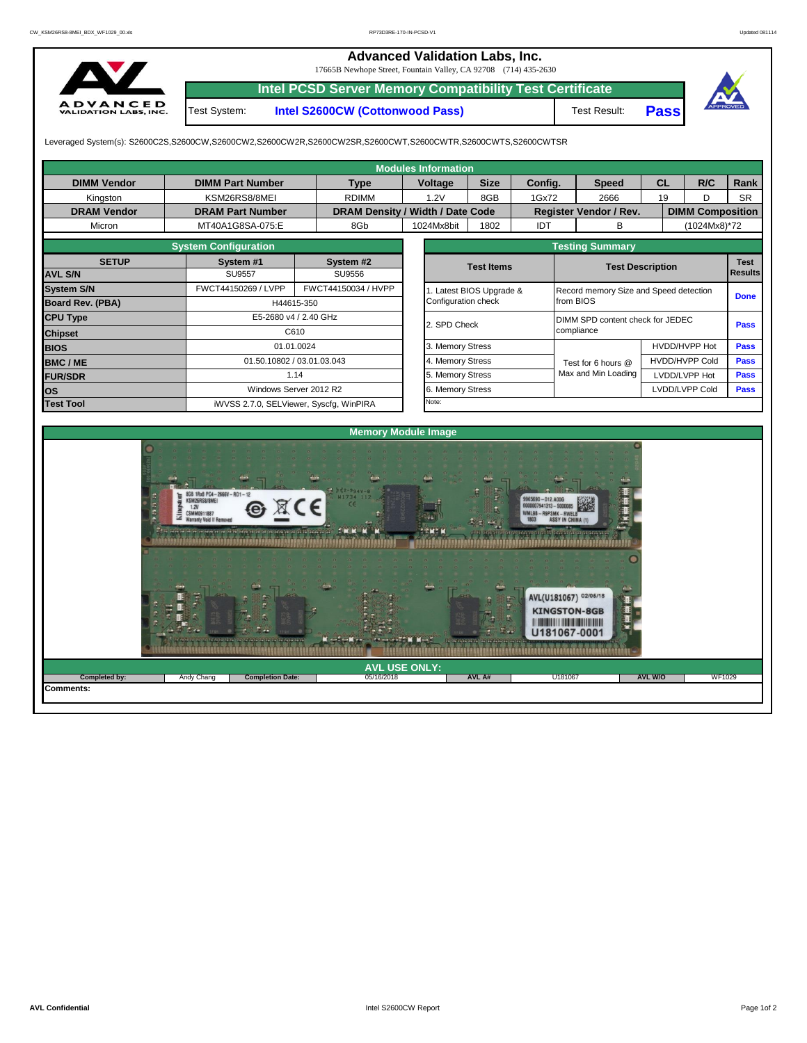## **Advanced Validation Labs, Inc.**

17665B Newhope Street, Fountain Valley, CA 92708 (714) 435-2630



**Intel PCSD Server Memory Compatibility Test Certificate** Test System: **Intel S2600CW (Cottonwood Pass)**

Test Result: **Pass**



Leveraged System(s): S2600C2S,S2600CW,S2600CW2,S2600CW2R,S2600CW2SR,S2600CWT,S2600CWTR,S2600CWTS,S2600CWTSR

**Completion Date:** 

|                         |                                              |                            |                                  |                     | <b>Modules Information</b> |                                   |                                          |                        |                     |                         |    |               |             |  |  |  |
|-------------------------|----------------------------------------------|----------------------------|----------------------------------|---------------------|----------------------------|-----------------------------------|------------------------------------------|------------------------|---------------------|-------------------------|----|---------------|-------------|--|--|--|
| <b>DIMM Vendor</b>      | <b>DIMM Part Number</b>                      |                            |                                  | <b>Voltage</b>      |                            | <b>Size</b>                       | Config.                                  |                        | <b>Speed</b>        | <b>CL</b>               |    | R/C           | Rank        |  |  |  |
| Kingston                | KSM26RS8/8MEI                                |                            | <b>RDIMM</b>                     |                     | 1.2V                       | 8GB                               | 1Gx72                                    |                        | 2666                |                         | 19 | D             | <b>SR</b>   |  |  |  |
| <b>DRAM Vendor</b>      | <b>DRAM Part Number</b>                      |                            | DRAM Density / Width / Date Code |                     |                            |                                   |                                          | Register Vendor / Rev. |                     | <b>DIMM Composition</b> |    |               |             |  |  |  |
| Micron                  | MT40A1G8SA-075:E                             |                            | 8Gb                              |                     | 1024Mx8bit                 | <b>IDT</b><br>1802                |                                          |                        | B                   |                         |    | (1024Mx8)*72  |             |  |  |  |
|                         |                                              |                            |                                  |                     |                            | <b>Testing Summary</b>            |                                          |                        |                     |                         |    |               |             |  |  |  |
| <b>SETUP</b>            | <b>System Configuration</b><br>System #1     | System #2                  |                                  |                     |                            |                                   |                                          |                        |                     |                         |    |               |             |  |  |  |
| <b>AVL S/N</b>          | <b>SU9557</b>                                | SU9556                     |                                  |                     |                            |                                   | <b>Test Items</b>                        |                        |                     | <b>Test Description</b> |    |               |             |  |  |  |
| <b>System S/N</b>       | FWCT44150269 / LVPP                          | FWCT44150034 / HVPP        |                                  | Configuration check | 1. Latest BIOS Upgrade &   |                                   | Record memory Size and Speed detection   |                        |                     |                         |    |               |             |  |  |  |
| <b>Board Rev. (PBA)</b> |                                              | H44615-350                 |                                  |                     |                            |                                   |                                          | from BIOS              |                     |                         |    | <b>Done</b>   |             |  |  |  |
| <b>CPU Type</b>         | E5-2680 v4 / 2.40 GHz                        | 2. SPD Check               |                                  |                     |                            |                                   | DIMM SPD content check for JEDEC<br>Pass |                        |                     |                         |    |               |             |  |  |  |
| <b>Chipset</b>          |                                              | C610                       |                                  |                     |                            | compliance                        |                                          |                        |                     |                         |    |               |             |  |  |  |
| <b>BIOS</b>             |                                              | 01.01.0024                 |                                  |                     |                            | 3. Memory Stress<br>HVDD/HVPP Hot |                                          |                        |                     |                         |    |               | <b>Pass</b> |  |  |  |
| <b>BMC/ME</b>           |                                              | 01.50.10802 / 03.01.03.043 |                                  |                     |                            |                                   |                                          |                        | Test for 6 hours @  | HVDD/HVPP Cold          |    |               | <b>Pass</b> |  |  |  |
| <b>FUR/SDR</b>          |                                              | 1.14                       |                                  |                     | 5. Memory Stress           |                                   |                                          |                        | Max and Min Loading |                         |    | LVDD/LVPP Hot | <b>Pass</b> |  |  |  |
| los                     |                                              | Windows Server 2012 R2     |                                  |                     |                            |                                   |                                          | 6. Memory Stress       |                     |                         |    |               |             |  |  |  |
| <b>Test Tool</b>        | iWVSS 2.7.0, SELViewer, Syscfq, WinPIRA      |                            |                                  |                     | Note:                      |                                   |                                          |                        |                     |                         |    |               |             |  |  |  |
|                         |                                              |                            |                                  |                     |                            |                                   |                                          |                        |                     |                         |    |               |             |  |  |  |
|                         |                                              |                            | <b>Memory Module Image</b>       |                     |                            |                                   |                                          |                        |                     |                         |    |               |             |  |  |  |
|                         | 1Rx8 PC4-2666V-RD1-12<br><b>IRINSSZRACMZ</b> |                            | H1734 112                        |                     |                            |                                   |                                          |                        |                     |                         |    |               |             |  |  |  |

**AVL USE ONLY: Completed by:** Andy Chang **AVL W/O** WF1029

Hú

**ABSERS** 

<u> 1999 - Frans Frans Frankrik for der fransk formaler (f. 1999), fransk formaler (f. 1999), fransk formaler (f</u>

**Comments:**

05/16/2018 **AVL A#**

U18106

AVL(U181067) 02/05/18 **KINGSTON-8GB** *<u>AL INTERNATIONAL DE LA BARCANTEN DE L</u>* U181067-0001